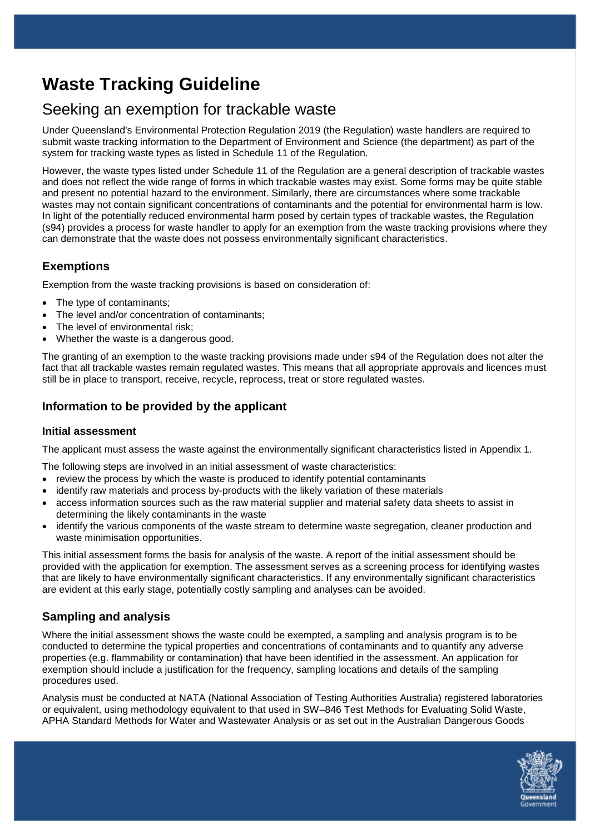# **Waste Tracking Guideline**

# Seeking an exemption for trackable waste

Under Queensland's Environmental Protection Regulation 2019 (the Regulation) waste handlers are required to submit waste tracking information to the Department of Environment and Science (the department) as part of the system for tracking waste types as listed in Schedule 11 of the Regulation.

However, the waste types listed under Schedule 11 of the Regulation are a general description of trackable wastes and does not reflect the wide range of forms in which trackable wastes may exist. Some forms may be quite stable and present no potential hazard to the environment. Similarly, there are circumstances where some trackable wastes may not contain significant concentrations of contaminants and the potential for environmental harm is low. In light of the potentially reduced environmental harm posed by certain types of trackable wastes, the Regulation (s94) provides a process for waste handler to apply for an exemption from the waste tracking provisions where they can demonstrate that the waste does not possess environmentally significant characteristics.

#### **Exemptions**

Exemption from the waste tracking provisions is based on consideration of:

- The type of contaminants;
- The level and/or concentration of contaminants;
- The level of environmental risk;
- Whether the waste is a dangerous good.

The granting of an exemption to the waste tracking provisions made under s94 of the Regulation does not alter the fact that all trackable wastes remain regulated wastes. This means that all appropriate approvals and licences must still be in place to transport, receive, recycle, reprocess, treat or store regulated wastes.

#### **Information to be provided by the applicant**

#### **Initial assessment**

The applicant must assess the waste against the environmentally significant characteristics listed in Appendix 1.

- The following steps are involved in an initial assessment of waste characteristics:
- review the process by which the waste is produced to identify potential contaminants
- identify raw materials and process by-products with the likely variation of these materials
- access information sources such as the raw material supplier and material safety data sheets to assist in determining the likely contaminants in the waste
- identify the various components of the waste stream to determine waste segregation, cleaner production and waste minimisation opportunities.

This initial assessment forms the basis for analysis of the waste. A report of the initial assessment should be provided with the application for exemption. The assessment serves as a screening process for identifying wastes that are likely to have environmentally significant characteristics. If any environmentally significant characteristics are evident at this early stage, potentially costly sampling and analyses can be avoided.

## **Sampling and analysis**

Where the initial assessment shows the waste could be exempted, a sampling and analysis program is to be conducted to determine the typical properties and concentrations of contaminants and to quantify any adverse properties (e.g. flammability or contamination) that have been identified in the assessment. An application for exemption should include a justification for the frequency, sampling locations and details of the sampling procedures used.

Analysis must be conducted at NATA (National Association of Testing Authorities Australia) registered laboratories or equivalent, using methodology equivalent to that used in SW–846 Test Methods for Evaluating Solid Waste, APHA Standard Methods for Water and Wastewater Analysis or as set out in the Australian Dangerous Goods

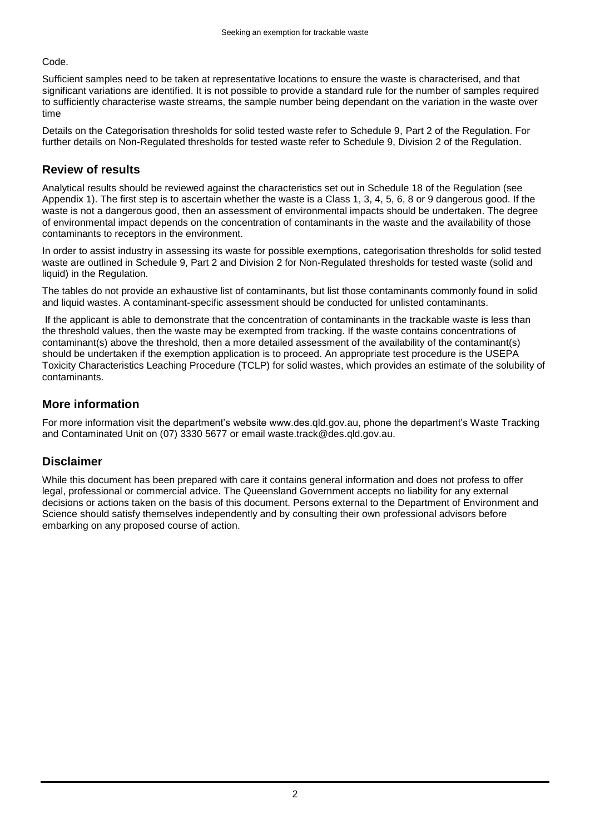Code.

Sufficient samples need to be taken at representative locations to ensure the waste is characterised, and that significant variations are identified. It is not possible to provide a standard rule for the number of samples required to sufficiently characterise waste streams, the sample number being dependant on the variation in the waste over time

Details on the Categorisation thresholds for solid tested waste refer to Schedule 9, Part 2 of the Regulation. For further details on Non-Regulated thresholds for tested waste refer to Schedule 9, Division 2 of the Regulation.

#### **Review of results**

Analytical results should be reviewed against the characteristics set out in Schedule 18 of the Regulation (see Appendix 1). The first step is to ascertain whether the waste is a Class 1, 3, 4, 5, 6, 8 or 9 dangerous good. If the waste is not a dangerous good, then an assessment of environmental impacts should be undertaken. The degree of environmental impact depends on the concentration of contaminants in the waste and the availability of those contaminants to receptors in the environment.

In order to assist industry in assessing its waste for possible exemptions, categorisation thresholds for solid tested waste are outlined in Schedule 9, Part 2 and Division 2 for Non-Regulated thresholds for tested waste (solid and liquid) in the Regulation.

The tables do not provide an exhaustive list of contaminants, but list those contaminants commonly found in solid and liquid wastes. A contaminant-specific assessment should be conducted for unlisted contaminants.

If the applicant is able to demonstrate that the concentration of contaminants in the trackable waste is less than the threshold values, then the waste may be exempted from tracking. If the waste contains concentrations of contaminant(s) above the threshold, then a more detailed assessment of the availability of the contaminant(s) should be undertaken if the exemption application is to proceed. An appropriate test procedure is the USEPA Toxicity Characteristics Leaching Procedure (TCLP) for solid wastes, which provides an estimate of the solubility of contaminants.

#### **More information**

For more information visit the department's website www.des.qld.gov.au, phone the department's Waste Tracking and Contaminated Unit on (07) 3330 5677 or email waste.track@des.qld.gov.au.

## **Disclaimer**

While this document has been prepared with care it contains general information and does not profess to offer legal, professional or commercial advice. The Queensland Government accepts no liability for any external decisions or actions taken on the basis of this document. Persons external to the Department of Environment and Science should satisfy themselves independently and by consulting their own professional advisors before embarking on any proposed course of action.